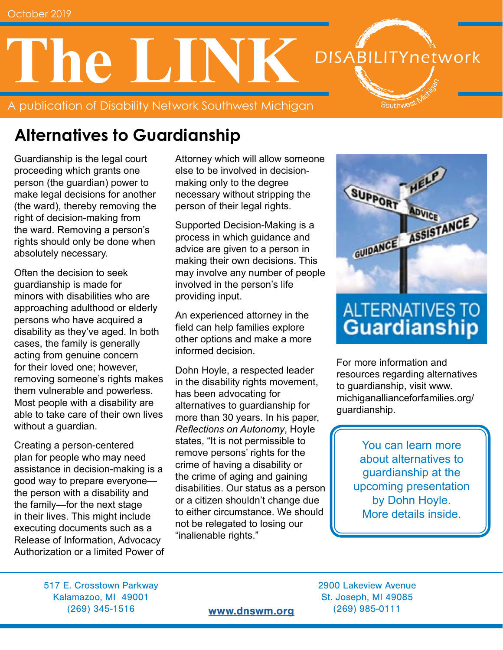# **The LINK DISABILITYnetwork** Southwes<sup>t</sup>

A publication of Disability Network Southwest Michigan

# **Alternatives to Guardianship**

Guardianship is the legal court proceeding which grants one person (the guardian) power to make legal decisions for another (the ward), thereby removing the right of decision-making from the ward. Removing a person's rights should only be done when absolutely necessary.

Often the decision to seek guardianship is made for minors with disabilities who are approaching adulthood or elderly persons who have acquired a disability as they've aged. In both cases, the family is generally acting from genuine concern for their loved one; however, removing someone's rights makes them vulnerable and powerless. Most people with a disability are able to take care of their own lives without a guardian.

Creating a person-centered plan for people who may need assistance in decision-making is a good way to prepare everyone the person with a disability and the family—for the next stage in their lives. This might include executing documents such as a Release of Information, Advocacy Authorization or a limited Power of Attorney which will allow someone else to be involved in decisionmaking only to the degree necessary without stripping the person of their legal rights.

Supported Decision-Making is a process in which guidance and advice are given to a person in making their own decisions. This may involve any number of people involved in the person's life providing input.

An experienced attorney in the field can help families explore other options and make a more informed decision.

Dohn Hoyle, a respected leader in the disability rights movement, has been advocating for alternatives to guardianship for more than 30 years. In his paper, *Reflections on Autonomy*, Hoyle states, "It is not permissible to remove persons' rights for the crime of having a disability or the crime of aging and gaining disabilities. Our status as a person or a citizen shouldn't change due to either circumstance. We should not be relegated to losing our "inalienable rights."



# **ALTERNATIVES TO Guardianship**

For more information and resources regarding alternatives to guardianship, visit www. michiganallianceforfamilies.org/ guardianship.

> You can learn more about alternatives to guardianship at the upcoming presentation by Dohn Hoyle. More details inside.

517 E. Crosstown Parkway 2900 Lakeview Avenue Kalamazoo, MI 49001 St. Joseph, MI 49085 (269) 345-1516 [www.dnswm.org](http://www.dnswm.org) (269) 985-0111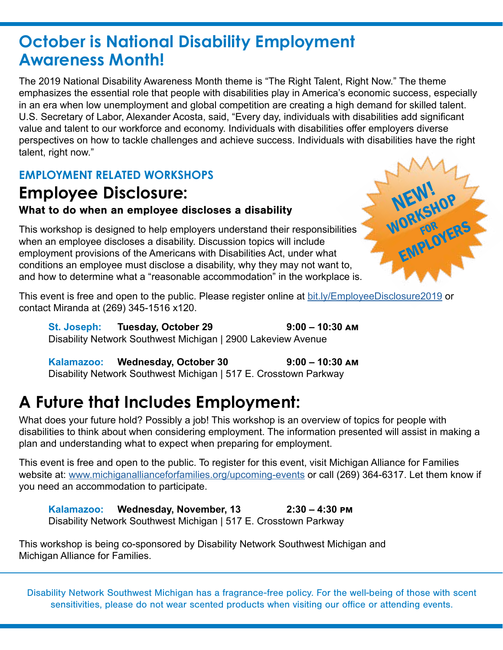### **October is National Disability Employment Awareness Month!**

The 2019 National Disability Awareness Month theme is "The Right Talent, Right Now." The theme emphasizes the essential role that people with disabilities play in America's economic success, especially in an era when low unemployment and global competition are creating a high demand for skilled talent. U.S. Secretary of Labor, Alexander Acosta, said, "Every day, individuals with disabilities add significant value and talent to our workforce and economy. Individuals with disabilities offer employers diverse perspectives on how to tackle challenges and achieve success. Individuals with disabilities have the right talent, right now."

### **EMPLOYMENT RELATED WORKSHOPS**

### **Employee Disclosure:** What to do when an employee discloses a disability

This workshop is designed to help employers understand their responsibilities when an employee discloses a disability. Discussion topics will include employment provisions of the Americans with Disabilities Act, under what conditions an employee must disclose a disability, why they may not want to, and how to determine what a "reasonable accommodation" in the workplace is.



This event is free and open to the public. Please register online at [bit.ly/EmployeeDisclosure2019](http://bit.ly/EmployeeDisclosure2019) or contact Miranda at (269) 345-1516 x120.

**St. Joseph: Tuesday, October 29 9:00 – 10:30 am** Disability Network Southwest Michigan | 2900 Lakeview Avenue

Kalamazoo: Wednesday, October 30 9:00 – 10:30 AM Disability Network Southwest Michigan | 517 E. Crosstown Parkway

### **A Future that Includes Employment:**

What does your future hold? Possibly a job! This workshop is an overview of topics for people with disabilities to think about when considering employment. The information presented will assist in making a plan and understanding what to expect when preparing for employment.

This event is free and open to the public. To register for this event, visit Michigan Alliance for Families website at: [www.michiganallianceforfamilies.org/upcoming-events](http://www.michiganallianceforfamilies.org/upcoming-events) or call (269) 364-6317. Let them know if you need an accommodation to participate.

**Kalamazoo: Wednesday, November, 13 2:30 – 4:30 pm**  Disability Network Southwest Michigan | 517 E. Crosstown Parkway

This workshop is being co-sponsored by Disability Network Southwest Michigan and Michigan Alliance for Families.

Disability Network Southwest Michigan has a fragrance-free policy. For the well-being of those with scent sensitivities, please do not wear scented products when visiting our office or attending events.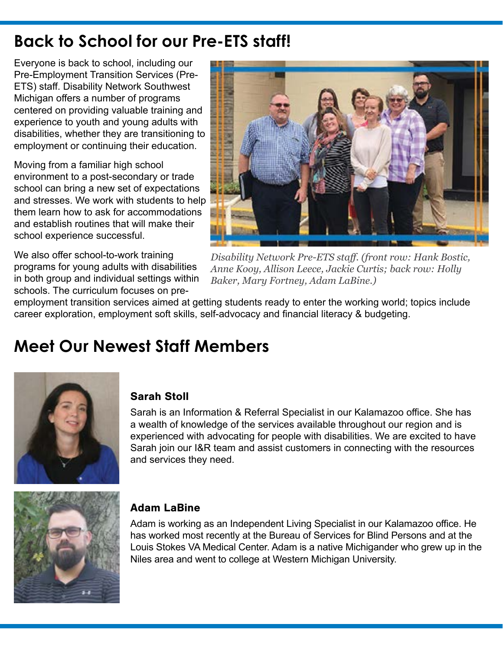# **Back to School for our Pre-ETS staff!**

Everyone is back to school, including our Pre-Employment Transition Services (Pre-ETS) staff. Disability Network Southwest Michigan offers a number of programs centered on providing valuable training and experience to youth and young adults with disabilities, whether they are transitioning to employment or continuing their education.

Moving from a familiar high school environment to a post-secondary or trade school can bring a new set of expectations and stresses. We work with students to help them learn how to ask for accommodations and establish routines that will make their school experience successful.

We also offer school-to-work training programs for young adults with disabilities in both group and individual settings within schools. The curriculum focuses on pre-



*Disability Network Pre-ETS staff. (front row: Hank Bostic, Anne Kooy, Allison Leece, Jackie Curtis; back row: Holly Baker, Mary Fortney, Adam LaBine.)*

employment transition services aimed at getting students ready to enter the working world; topics include career exploration, employment soft skills, self-advocacy and financial literacy & budgeting.

# **Meet Our Newest Staff Members**



#### Sarah Stoll

Sarah is an Information & Referral Specialist in our Kalamazoo office. She has a wealth of knowledge of the services available throughout our region and is experienced with advocating for people with disabilities. We are excited to have Sarah join our I&R team and assist customers in connecting with the resources and services they need.



#### Adam LaBine

Adam is working as an Independent Living Specialist in our Kalamazoo office. He has worked most recently at the Bureau of Services for Blind Persons and at the Louis Stokes VA Medical Center. Adam is a native Michigander who grew up in the Niles area and went to college at Western Michigan University.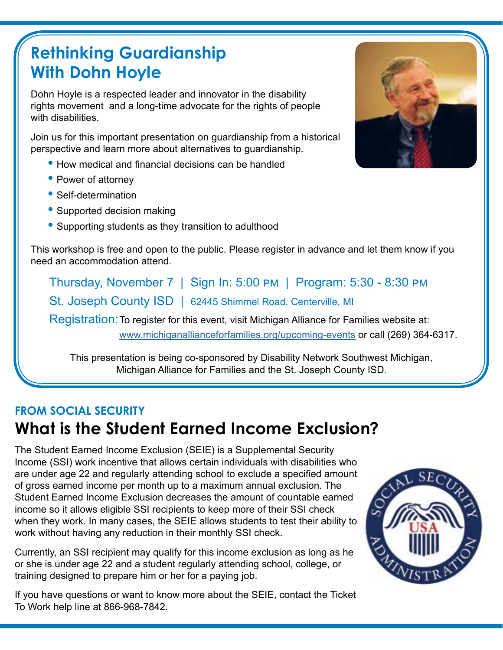# **Rethinking Guardianship With Dohn Hoyle**

Dohn Hoyle is a respected leader and innovator in the disability rights movement and a long-time advocate for the rights of people with disabilities.

Join us for this important presentation on guardianship from a historical perspective and learn more about alternatives to guardianship.

- How medical and financial decisions can be handled
- Power of attorney
- Self-determination
- Supported decision making
- Supporting students as they transition to adulthood

This workshop is free and open to the public. Please register in advance and let them know if you need an accommodation attend.

Thursday, November 7 | Sign In: 5:00 pm | Program: 5:30 - 8:30 pm St. Joseph County ISD | 62445 Shimmel Road, Centerville, MI

Registration:To register for this event, visit Michigan Alliance for Families website at:

[www.michiganallianceforfamilies.org/upcoming-events](http://www.michiganallianceforfamilies.org/upcoming-events) or call (269) 364-6317.

This presentation is being co-sponsored by Disability Network Southwest Michigan, Michigan Alliance for Families and the St. Joseph County ISD.

### **FROM SOCIAL SECURITY What is the Student Earned Income Exclusion?**

The Student Earned Income Exclusion (SEIE) is a Supplemental Security Income (SSI) work incentive that allows certain individuals with disabilities who are under age 22 and regularly attending school to exclude a specified amount of gross earned income per month up to a maximum annual exclusion. The Student Earned Income Exclusion decreases the amount of countable earned income so it allows eligible SSI recipients to keep more of their SSI check when they work. In many cases, the SEIE allows students to test their ability to work without having any reduction in their monthly SSI check.

Currently, an SSI recipient may qualify for this income exclusion as long as he or she is under age 22 and a student regularly attending school, college, or training designed to prepare him or her for a paying job.

If you have questions or want to know more about the SEIE, contact the Ticket To Work help line at 866-968-7842.



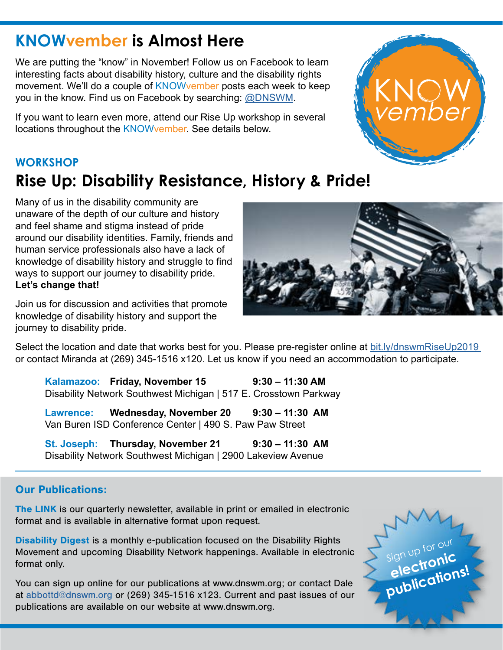### **KNOWvember is Almost Here**

We are putting the "know" in November! Follow us on Facebook to learn interesting facts about disability history, culture and the disability rights movement. We'll do a couple of KNOWvember posts each week to keep you in the know. Find us on Facebook by searching: [@DNSWM](https://www.facebook.com/DNSWM/?ref=bookmarks).

If you want to learn even more, attend our Rise Up workshop in several locations throughout the KNOWvember. See details below.

### **WORKSHOP Rise Up: Disability Resistance, History & Pride!**

Many of us in the disability community are unaware of the depth of our culture and history and feel shame and stigma instead of pride around our disability identities. Family, friends and human service professionals also have a lack of knowledge of disability history and struggle to find ways to support our journey to disability pride. **Let's change that!** 

Join us for discussion and activities that promote knowledge of disability history and support the journey to disability pride.

Select the location and date that works best for you. Please pre-register online at [bit.ly/dnswmRiseUp2019](http://bit.ly/dnswmRiseUp2019 ) or contact Miranda at (269) 345-1516 x120. Let us know if you need an accommodation to participate.

**Kalamazoo: Friday, November 15 9:30 – 11:30 AM**  Disability Network Southwest Michigan | 517 E. Crosstown Parkway

**Lawrence: Wednesday, November 20 9:30 – 11:30 AM** Van Buren ISD Conference Center | 490 S. Paw Paw Street

**St. Joseph: Thursday, November 21 9:30 – 11:30 AM** Disability Network Southwest Michigan | 2900 Lakeview Avenue

#### Our Publications:

The LINK is our quarterly newsletter, available in print or emailed in electronic format and is available in alternative format upon request.

Disability Digest is a monthly e-publication focused on the Disability Rights Movement and upcoming Disability Network happenings. Available in electronic format only.

You can sign up online for our publications at www.dnswm.org; or contact Dale at [abbottd@dnswm.org](mailto:abbottd%40dnswm.org?subject=) or (269) 345-1516 x123. Current and past issues of our publications are available on our website at www.dnswm.org.